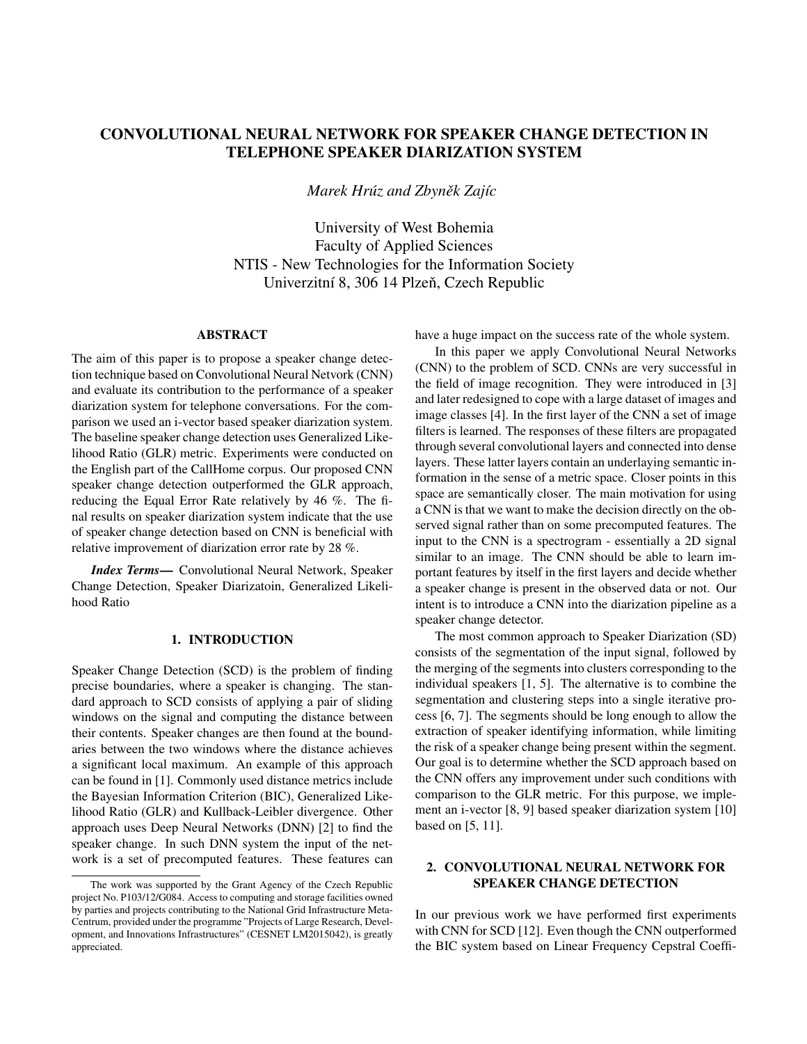# CONVOLUTIONAL NEURAL NETWORK FOR SPEAKER CHANGE DETECTION IN TELEPHONE SPEAKER DIARIZATION SYSTEM

*Marek Hrúz and Zbyněk Zajíc* 

University of West Bohemia Faculty of Applied Sciences NTIS - New Technologies for the Information Society Univerzitní 8, 306 14 Plzeň, Czech Republic

## ABSTRACT

The aim of this paper is to propose a speaker change detection technique based on Convolutional Neural Netvork (CNN) and evaluate its contribution to the performance of a speaker diarization system for telephone conversations. For the comparison we used an i-vector based speaker diarization system. The baseline speaker change detection uses Generalized Likelihood Ratio (GLR) metric. Experiments were conducted on the English part of the CallHome corpus. Our proposed CNN speaker change detection outperformed the GLR approach, reducing the Equal Error Rate relatively by 46 %. The final results on speaker diarization system indicate that the use of speaker change detection based on CNN is beneficial with relative improvement of diarization error rate by 28 %.

*Index Terms*— Convolutional Neural Network, Speaker Change Detection, Speaker Diarizatoin, Generalized Likelihood Ratio

### 1. INTRODUCTION

Speaker Change Detection (SCD) is the problem of finding precise boundaries, where a speaker is changing. The standard approach to SCD consists of applying a pair of sliding windows on the signal and computing the distance between their contents. Speaker changes are then found at the boundaries between the two windows where the distance achieves a significant local maximum. An example of this approach can be found in [1]. Commonly used distance metrics include the Bayesian Information Criterion (BIC), Generalized Likelihood Ratio (GLR) and Kullback-Leibler divergence. Other approach uses Deep Neural Networks (DNN) [2] to find the speaker change. In such DNN system the input of the network is a set of precomputed features. These features can have a huge impact on the success rate of the whole system.

In this paper we apply Convolutional Neural Networks (CNN) to the problem of SCD. CNNs are very successful in the field of image recognition. They were introduced in [3] and later redesigned to cope with a large dataset of images and image classes [4]. In the first layer of the CNN a set of image filters is learned. The responses of these filters are propagated through several convolutional layers and connected into dense layers. These latter layers contain an underlaying semantic information in the sense of a metric space. Closer points in this space are semantically closer. The main motivation for using a CNN is that we want to make the decision directly on the observed signal rather than on some precomputed features. The input to the CNN is a spectrogram - essentially a 2D signal similar to an image. The CNN should be able to learn important features by itself in the first layers and decide whether a speaker change is present in the observed data or not. Our intent is to introduce a CNN into the diarization pipeline as a speaker change detector.

The most common approach to Speaker Diarization (SD) consists of the segmentation of the input signal, followed by the merging of the segments into clusters corresponding to the individual speakers [1, 5]. The alternative is to combine the segmentation and clustering steps into a single iterative process [6, 7]. The segments should be long enough to allow the extraction of speaker identifying information, while limiting the risk of a speaker change being present within the segment. Our goal is to determine whether the SCD approach based on the CNN offers any improvement under such conditions with comparison to the GLR metric. For this purpose, we implement an i-vector [8, 9] based speaker diarization system [10] based on [5, 11].

## 2. CONVOLUTIONAL NEURAL NETWORK FOR SPEAKER CHANGE DETECTION

In our previous work we have performed first experiments with CNN for SCD [12]. Even though the CNN outperformed the BIC system based on Linear Frequency Cepstral Coeffi-

The work was supported by the Grant Agency of the Czech Republic project No. P103/12/G084. Access to computing and storage facilities owned by parties and projects contributing to the National Grid Infrastructure Meta-Centrum, provided under the programme "Projects of Large Research, Development, and Innovations Infrastructures" (CESNET LM2015042), is greatly appreciated.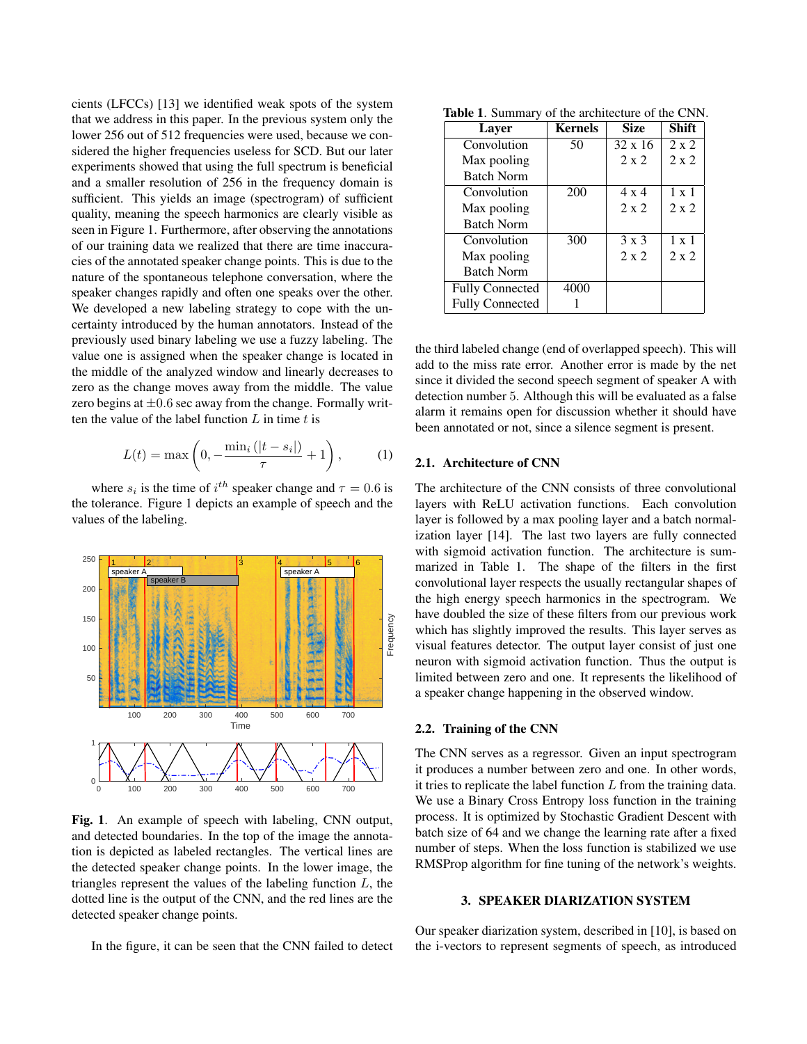cients (LFCCs) [13] we identified weak spots of the system that we address in this paper. In the previous system only the lower 256 out of 512 frequencies were used, because we considered the higher frequencies useless for SCD. But our later experiments showed that using the full spectrum is beneficial and a smaller resolution of 256 in the frequency domain is sufficient. This yields an image (spectrogram) of sufficient quality, meaning the speech harmonics are clearly visible as seen in Figure 1. Furthermore, after observing the annotations of our training data we realized that there are time inaccuracies of the annotated speaker change points. This is due to the nature of the spontaneous telephone conversation, where the speaker changes rapidly and often one speaks over the other. We developed a new labeling strategy to cope with the uncertainty introduced by the human annotators. Instead of the previously used binary labeling we use a fuzzy labeling. The value one is assigned when the speaker change is located in the middle of the analyzed window and linearly decreases to zero as the change moves away from the middle. The value zero begins at  $\pm 0.6$  sec away from the change. Formally written the value of the label function  $L$  in time  $t$  is

$$
L(t) = \max\left(0, -\frac{\min_i\left(|t - s_i|\right)}{\tau} + 1\right),\tag{1}
$$

where  $s_i$  is the time of  $i^{th}$  speaker change and  $\tau = 0.6$  is the tolerance. Figure 1 depicts an example of speech and the values of the labeling.



Fig. 1. An example of speech with labeling, CNN output, and detected boundaries. In the top of the image the annotation is depicted as labeled rectangles. The vertical lines are the detected speaker change points. In the lower image, the triangles represent the values of the labeling function  $L$ , the dotted line is the output of the CNN, and the red lines are the detected speaker change points.

In the figure, it can be seen that the CNN failed to detect

Table 1. Summary of the architecture of the CNN.

| <b>Layer</b>           | <b>Kernels</b> | <b>Size</b>    | Shift        |
|------------------------|----------------|----------------|--------------|
| Convolution            | 50             | $32 \times 16$ | $2 \times 2$ |
| Max pooling            |                | $2 \times 2$   | $2 \times 2$ |
| <b>Batch Norm</b>      |                |                |              |
| Convolution            | 200            | $4 \times 4$   | $1 \times 1$ |
| Max pooling            |                | $2 \times 2$   | $2 \times 2$ |
| <b>Batch Norm</b>      |                |                |              |
| Convolution            | 300            | $3 \times 3$   | $1 \times 1$ |
| Max pooling            |                | $2 \times 2$   | $2 \times 2$ |
| <b>Batch Norm</b>      |                |                |              |
| <b>Fully Connected</b> | 4000           |                |              |
| <b>Fully Connected</b> |                |                |              |

the third labeled change (end of overlapped speech). This will add to the miss rate error. Another error is made by the net since it divided the second speech segment of speaker A with detection number 5. Although this will be evaluated as a false alarm it remains open for discussion whether it should have been annotated or not, since a silence segment is present.

# 2.1. Architecture of CNN

The architecture of the CNN consists of three convolutional layers with ReLU activation functions. Each convolution layer is followed by a max pooling layer and a batch normalization layer [14]. The last two layers are fully connected with sigmoid activation function. The architecture is summarized in Table 1. The shape of the filters in the first convolutional layer respects the usually rectangular shapes of the high energy speech harmonics in the spectrogram. We have doubled the size of these filters from our previous work which has slightly improved the results. This layer serves as visual features detector. The output layer consist of just one neuron with sigmoid activation function. Thus the output is limited between zero and one. It represents the likelihood of a speaker change happening in the observed window.

## 2.2. Training of the CNN

The CNN serves as a regressor. Given an input spectrogram it produces a number between zero and one. In other words, it tries to replicate the label function  $L$  from the training data. We use a Binary Cross Entropy loss function in the training process. It is optimized by Stochastic Gradient Descent with batch size of 64 and we change the learning rate after a fixed number of steps. When the loss function is stabilized we use RMSProp algorithm for fine tuning of the network's weights.

### 3. SPEAKER DIARIZATION SYSTEM

Our speaker diarization system, described in [10], is based on the i-vectors to represent segments of speech, as introduced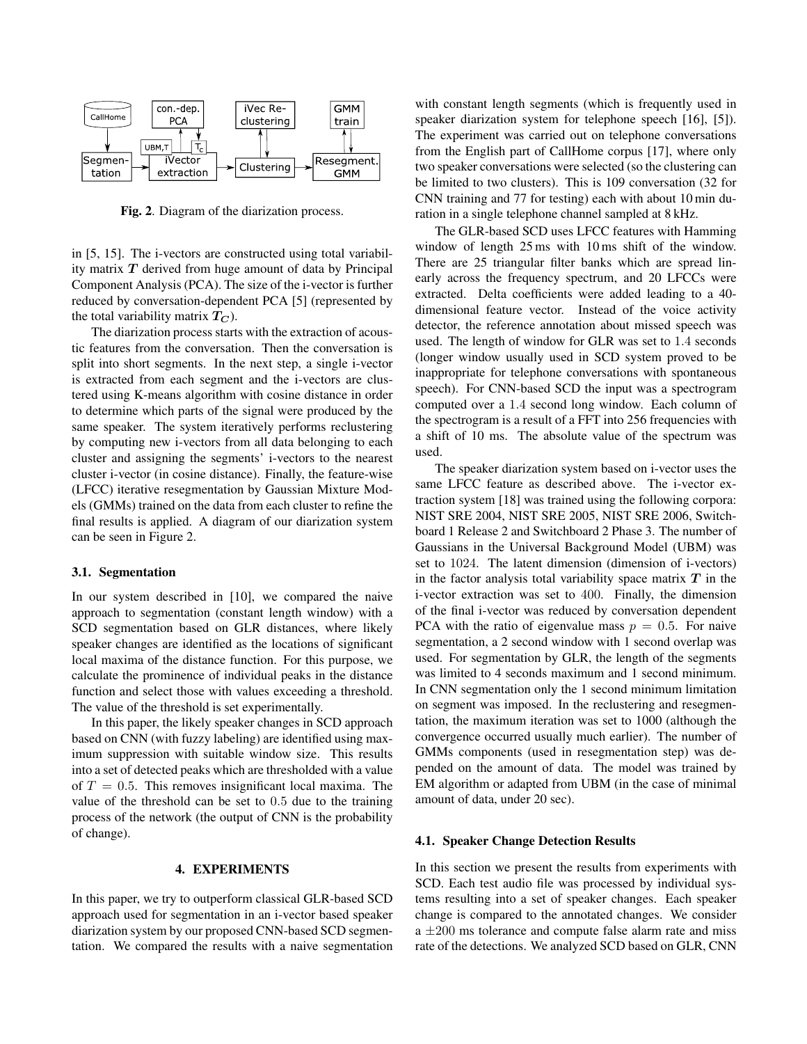

Fig. 2. Diagram of the diarization process.

in [5, 15]. The i-vectors are constructed using total variability matrix  $T$  derived from huge amount of data by Principal Component Analysis (PCA). The size of the i-vector is further reduced by conversation-dependent PCA [5] (represented by the total variability matrix  $T_C$ ).

The diarization process starts with the extraction of acoustic features from the conversation. Then the conversation is split into short segments. In the next step, a single i-vector is extracted from each segment and the i-vectors are clustered using K-means algorithm with cosine distance in order to determine which parts of the signal were produced by the same speaker. The system iteratively performs reclustering by computing new i-vectors from all data belonging to each cluster and assigning the segments' i-vectors to the nearest cluster i-vector (in cosine distance). Finally, the feature-wise (LFCC) iterative resegmentation by Gaussian Mixture Models (GMMs) trained on the data from each cluster to refine the final results is applied. A diagram of our diarization system can be seen in Figure 2.

## 3.1. Segmentation

In our system described in [10], we compared the naive approach to segmentation (constant length window) with a SCD segmentation based on GLR distances, where likely speaker changes are identified as the locations of significant local maxima of the distance function. For this purpose, we calculate the prominence of individual peaks in the distance function and select those with values exceeding a threshold. The value of the threshold is set experimentally.

In this paper, the likely speaker changes in SCD approach based on CNN (with fuzzy labeling) are identified using maximum suppression with suitable window size. This results into a set of detected peaks which are thresholded with a value of  $T = 0.5$ . This removes insignificant local maxima. The value of the threshold can be set to 0.5 due to the training process of the network (the output of CNN is the probability of change).

## 4. EXPERIMENTS

In this paper, we try to outperform classical GLR-based SCD approach used for segmentation in an i-vector based speaker diarization system by our proposed CNN-based SCD segmentation. We compared the results with a naive segmentation with constant length segments (which is frequently used in speaker diarization system for telephone speech [16], [5]). The experiment was carried out on telephone conversations from the English part of CallHome corpus [17], where only two speaker conversations were selected (so the clustering can be limited to two clusters). This is 109 conversation (32 for CNN training and 77 for testing) each with about 10 min duration in a single telephone channel sampled at 8 kHz.

The GLR-based SCD uses LFCC features with Hamming window of length 25 ms with 10 ms shift of the window. There are 25 triangular filter banks which are spread linearly across the frequency spectrum, and 20 LFCCs were extracted. Delta coefficients were added leading to a 40 dimensional feature vector. Instead of the voice activity detector, the reference annotation about missed speech was used. The length of window for GLR was set to 1.4 seconds (longer window usually used in SCD system proved to be inappropriate for telephone conversations with spontaneous speech). For CNN-based SCD the input was a spectrogram computed over a 1.4 second long window. Each column of the spectrogram is a result of a FFT into 256 frequencies with a shift of 10 ms. The absolute value of the spectrum was used.

The speaker diarization system based on i-vector uses the same LFCC feature as described above. The i-vector extraction system [18] was trained using the following corpora: NIST SRE 2004, NIST SRE 2005, NIST SRE 2006, Switchboard 1 Release 2 and Switchboard 2 Phase 3. The number of Gaussians in the Universal Background Model (UBM) was set to 1024. The latent dimension (dimension of i-vectors) in the factor analysis total variability space matrix  $T$  in the i-vector extraction was set to 400. Finally, the dimension of the final i-vector was reduced by conversation dependent PCA with the ratio of eigenvalue mass  $p = 0.5$ . For naive segmentation, a 2 second window with 1 second overlap was used. For segmentation by GLR, the length of the segments was limited to 4 seconds maximum and 1 second minimum. In CNN segmentation only the 1 second minimum limitation on segment was imposed. In the reclustering and resegmentation, the maximum iteration was set to 1000 (although the convergence occurred usually much earlier). The number of GMMs components (used in resegmentation step) was depended on the amount of data. The model was trained by EM algorithm or adapted from UBM (in the case of minimal amount of data, under 20 sec).

#### 4.1. Speaker Change Detection Results

In this section we present the results from experiments with SCD. Each test audio file was processed by individual systems resulting into a set of speaker changes. Each speaker change is compared to the annotated changes. We consider  $a \pm 200$  ms tolerance and compute false alarm rate and miss rate of the detections. We analyzed SCD based on GLR, CNN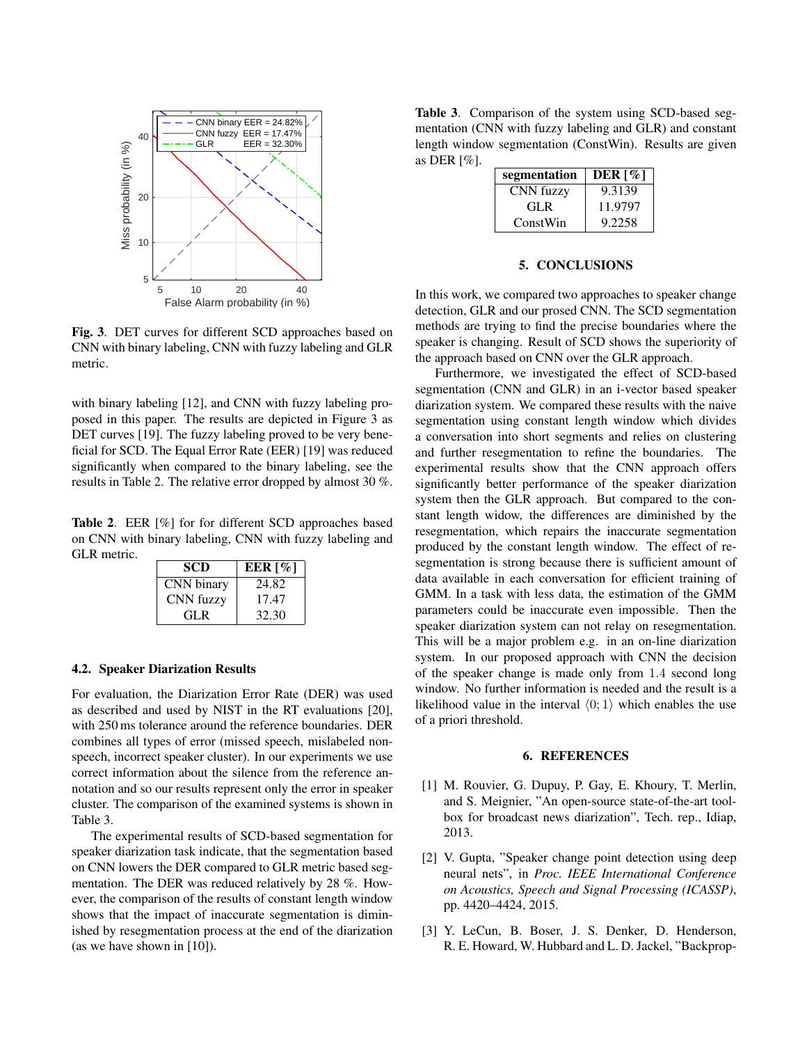

Fig. 3. DET curves for different SCD approaches based on CNN with binary labeling, CNN with fuzzy labeling and GLR metric.

with binary labeling [12], and CNN with fuzzy labeling proposed in this paper. The results are depicted in Figure 3 as DET curves [19]. The fuzzy labeling proved to be very beneficial for SCD. The Equal Error Rate (EER) [19] was reduced significantly when compared to the binary labeling, see the results in Table 2. The relative error dropped by almost 30 %.

Table 2. EER [%] for for different SCD approaches based on CNN with binary labeling, CNN with fuzzy labeling and GLR metric.

| SCD        | EER $\lceil \% \rceil$ |
|------------|------------------------|
| CNN binary | 24.82                  |
| CNN fuzzy  | 17.47                  |
| GL R       | 32.30                  |

### 4.2. Speaker Diarization Results

For evaluation, the Diarization Error Rate (DER) was used as described and used by NIST in the RT evaluations [20], with 250 ms tolerance around the reference boundaries. DER combines all types of error (missed speech, mislabeled nonspeech, incorrect speaker cluster). In our experiments we use correct information about the silence from the reference annotation and so our results represent only the error in speaker cluster. The comparison of the examined systems is shown in Table 3.

The experimental results of SCD-based segmentation for speaker diarization task indicate, that the segmentation based on CNN lowers the DER compared to GLR metric based segmentation. The DER was reduced relatively by 28 %. However, the comparison of the results of constant length window shows that the impact of inaccurate segmentation is diminished by resegmentation process at the end of the diarization (as we have shown in [10]).

Table 3. Comparison of the system using SCD-based segmentation (CNN with fuzzy labeling and GLR) and constant length window segmentation (ConstWin). Results are given as DER [%].

| segmentation | DER $\lceil \% \rceil$ |
|--------------|------------------------|
| CNN fuzzy    | 9.3139                 |
| GL R         | 11.9797                |
| ConstWin     | 9.2258                 |

#### 5. CONCLUSIONS

In this work, we compared two approaches to speaker change detection, GLR and our prosed CNN. The SCD segmentation methods are trying to find the precise boundaries where the speaker is changing. Result of SCD shows the superiority of the approach based on CNN over the GLR approach.

Furthermore, we investigated the effect of SCD-based segmentation (CNN and GLR) in an i-vector based speaker diarization system. We compared these results with the naive segmentation using constant length window which divides a conversation into short segments and relies on clustering and further resegmentation to refine the boundaries. The experimental results show that the CNN approach offers significantly better performance of the speaker diarization system then the GLR approach. But compared to the constant length widow, the differences are diminished by the resegmentation, which repairs the inaccurate segmentation produced by the constant length window. The effect of resegmentation is strong because there is sufficient amount of data available in each conversation for efficient training of GMM. In a task with less data, the estimation of the GMM parameters could be inaccurate even impossible. Then the speaker diarization system can not relay on resegmentation. This will be a major problem e.g. in an on-line diarization system. In our proposed approach with CNN the decision of the speaker change is made only from 1.4 second long window. No further information is needed and the result is a likelihood value in the interval  $\langle 0; 1 \rangle$  which enables the use of a priori threshold.

# 6. REFERENCES

- [1] M. Rouvier, G. Dupuy, P. Gay, E. Khoury, T. Merlin, and S. Meignier, "An open-source state-of-the-art toolbox for broadcast news diarization", Tech. rep., Idiap, 2013.
- [2] V. Gupta, "Speaker change point detection using deep neural nets", in *Proc. IEEE International Conference on Acoustics, Speech and Signal Processing (ICASSP)*, pp. 4420–4424, 2015.
- [3] Y. LeCun, B. Boser, J. S. Denker, D. Henderson, R. E. Howard, W. Hubbard and L. D. Jackel, "Backprop-